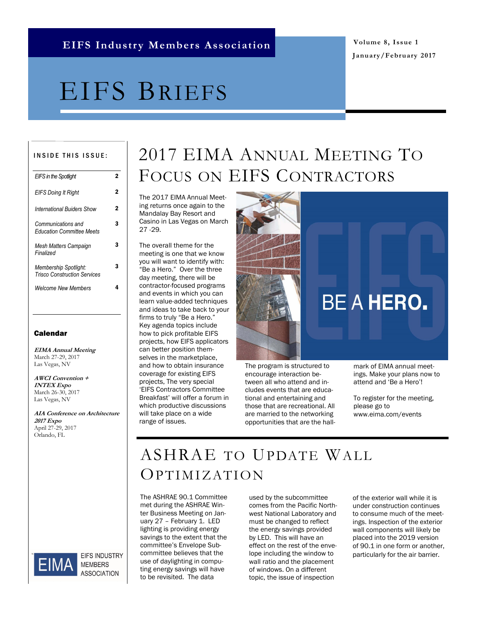**January/February 2017**

## EIFS BRIEFS

### INSIDE THIS ISSUE:

| <b>EIFS</b> in the Spotlight                                        | 2 |
|---------------------------------------------------------------------|---|
| <b>EIFS Doing It Right</b>                                          | 2 |
| <b>International Buiders Show</b>                                   | 2 |
| Communications and<br><b>Education Committee Meets</b>              | 3 |
| Mesh Matters Campaign<br>Finalized                                  | 3 |
| <b>Membership Spotlight:</b><br><b>Trisco Construction Services</b> | 3 |
| Welcome New Members                                                 | 4 |
|                                                                     |   |

#### Calendar

**EIMA Annual Meeting** March 27-29, 2017 Las Vegas, NV

**AWCI Convention + INTEX Expo** March 26-30, 2017 Las Vegas, NV

**AIA Conference on Architecture 2017 Expo** April 27-29, 2017 Orlando, FL



**EIFS INDUSTRY MEMBERS ASSOCIATION** 

## 2017 EIMA ANNUAL MEETING TO FOCUS ON EIFS CONTRACTORS

The 2017 EIMA Annual Meeting returns once again to the Mandalay Bay Resort and Casino in Las Vegas on March 27 -29.

The overall theme for the meeting is one that we know you will want to identify with: "Be a Hero." Over the three day meeting, there will be contractor-focused programs and events in which you can learn value-added techniques and ideas to take back to your firms to truly "Be a Hero." Key agenda topics include how to pick profitable EIFS projects, how EIFS applicators can better position themselves in the marketplace, and how to obtain insurance coverage for existing EIFS projects, The very special 'EIFS Contractors Committee Breakfast' will offer a forum in which productive discussions will take place on a wide range of issues.



The program is structured to encourage interaction between all who attend and includes events that are educational and entertaining and those that are recreational. All are married to the networking opportunities that are the hallmark of EIMA annual meetings. Make your plans now to attend and 'Be a Hero'!

To register for the meeting, please go to www.eima.com/events

## ASHRAE TO UPDATE WALL OPTIMIZATION

The ASHRAE 90.1 Committee met during the ASHRAE Winter Business Meeting on January 27 – February 1. LED lighting is providing energy savings to the extent that the committee's Envelope Subcommittee believes that the use of daylighting in computing energy savings will have to be revisited. The data

used by the subcommittee comes from the Pacific Northwest National Laboratory and must be changed to reflect the energy savings provided by LED. This will have an effect on the rest of the envelope including the window to wall ratio and the placement of windows. On a different topic, the issue of inspection

of the exterior wall while it is under construction continues to consume much of the meetings. Inspection of the exterior wall components will likely be placed into the 2019 version of 90.1 in one form or another, particularly for the air barrier.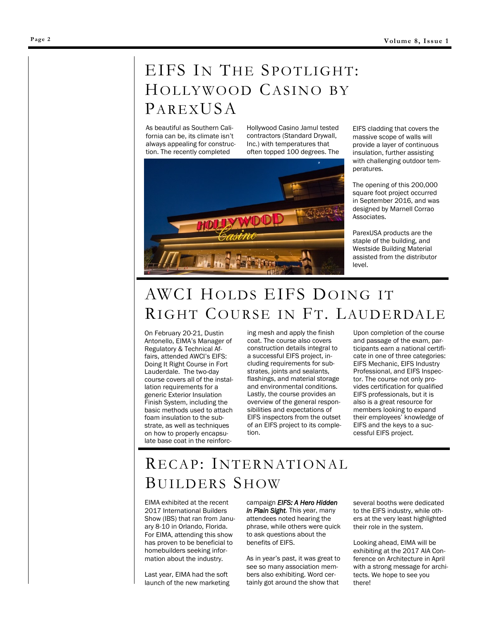## EIFS IN THE SPOTLIGHT: HOLLYWOOD CASINO BY  $P$ AREXUSA

As beautiful as Southern California can be, its climate isn't always appealing for construction. The recently completed

Hollywood Casino Jamul tested contractors ([Standard Drywall,](http://www.standarddrywall.com/Default.asp)  [Inc.\)](http://www.standarddrywall.com/Default.asp) with temperatures that often topped 100 degrees. The



EIFS cladding that covers the massive scope of walls will provide a layer of continuous insulation, further assisting with challenging outdoor temperatures.

The opening of this 200,000 square foot project occurred in September 2016, and was designed by [Marnell Corrao](http://www.marnellcompanies.com/html/architecture.html)  [Associates.](http://www.marnellcompanies.com/html/architecture.html)

[ParexUSA](http://www.parexusa.com/) products are the staple of the building, and [Westside Building Material](http://www.westsidebmc.com/locations/san-%20diego-ca.aspx) assisted from the distributor level.

## AWCI HOLDS EIFS DOING IT RIGHT COURSE IN FT. LAUDERDALE

On February 20-21, Dustin Antonello, EIMA's Manager of Regulatory & Technical Affairs, attended AWCI's EIFS: Doing It Right Course in Fort Lauderdale. The two-day course covers all of the installation requirements for a generic Exterior Insulation Finish System, including the basic methods used to attach foam insulation to the substrate, as well as techniques on how to properly encapsulate base coat in the reinforcing mesh and apply the finish coat. The course also covers construction details integral to a successful EIFS project, including requirements for substrates, joints and sealants, flashings, and material storage and environmental conditions. Lastly, the course provides an overview of the general responsibilities and expectations of EIFS inspectors from the outset of an EIFS project to its completion.

Upon completion of the course and passage of the exam, participants earn a national certificate in one of three categories: EIFS Mechanic, EIFS Industry Professional, and EIFS Inspector. The course not only provides certification for qualified EIFS professionals, but it is also is a great resource for members looking to expand their employees' knowledge of EIFS and the keys to a successful EIFS project.

## RECAP: INTERNATIONAL BUILDERS SHOW

EIMA exhibited at the recent 2017 International Builders Show (IBS) that ran from January 8-10 in Orlando, Florida. For EIMA, attending this show has proven to be beneficial to homebuilders seeking information about the industry.

Last year, EIMA had the soft launch of the new marketing campaign *EIFS: A Hero Hidden in Plain Sight.* This year, many attendees noted hearing the phrase, while others were quick to ask questions about the benefits of EIFS.

As in year's past, it was great to see so many association members also exhibiting. Word certainly got around the show that

several booths were dedicated to the EIFS industry, while others at the very least highlighted their role in the system.

Looking ahead, EIMA will be exhibiting at the 2017 AIA Conference on Architecture in April with a strong message for architects. We hope to see you there!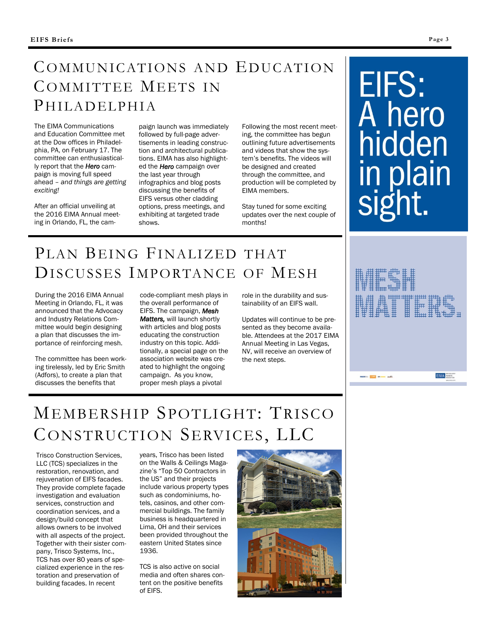## COMMUNICATIONS AND EDUCATION COMMITTEE MEETS IN PHILADELPHIA

The EIMA Communications and Education Committee met at the Dow offices in Philadelphia, PA, on February 17. The committee can enthusiastically report that the *Hero* campaign is moving full speed ahead – *and things are getting exciting!*

After an official unveiling at the 2016 EIMA Annual meeting in Orlando, FL, the campaign launch was immediately followed by full-page advertisements in leading construction and architectural publications. EIMA has also highlighted the *Hero* campaign over the last year through infographics and blog posts discussing the benefits of EIFS versus other cladding options, press meetings, and exhibiting at targeted trade shows.

Following the most recent meeting, the committee has begun outlining future advertisements and videos that show the system's benefits. The videos will be designed and created through the committee, and production will be completed by EIMA members.

Stay tuned for some exciting updates over the next couple of months!

# EIFS: A hero<br>hidden in plain

## PLAN BEING FINALIZED THAT DISCUSSES IMPORTANCE OF MESH

During the 2016 EIMA Annual Meeting in Orlando, FL, it was announced that the Advocacy and Industry Relations Committee would begin designing a plan that discusses the importance of reinforcing mesh.

The committee has been working tirelessly, led by Eric Smith (Adfors), to create a plan that discusses the benefits that

code-compliant mesh plays in the overall performance of EIFS. The campaign, *Mesh Matters,* will launch shortly with articles and blog posts educating the construction industry on this topic. Additionally, a special page on the association website was created to highlight the ongoing campaign. As you know, proper mesh plays a pivotal

role in the durability and sustainability of an EIFS wall.

Updates will continue to be presented as they become available. Attendees at the 2017 EIMA Annual Meeting in Las Vegas, NV, will receive an overview of the next steps.



 $\frac{1}{\sqrt{2}}$  and  $\frac{1}{\sqrt{2}}$  and  $\frac{1}{\sqrt{2}}$ 

EIMA<sup>Newceg</sup>

## MEMBERSHIP SPOTLIGHT: TRISCO CONSTRUCTION SERVICES, LLC

Trisco Construction Services, LLC (TCS) specializes in the restoration, renovation, and rejuvenation of EIFS facades. They provide complete façade investigation and evaluation services, construction and coordination services, and a design/build concept that allows owners to be involved with all aspects of the project. Together with their sister company, Trisco Systems, Inc., TCS has over 80 years of specialized experience in the restoration and preservation of building facades. In recent

years, Trisco has been listed on the Walls & Ceilings Magazine's "Top 50 Contractors in the US" and their projects include various property types such as condominiums, hotels, casinos, and other commercial buildings. The family business is headquartered in Lima, OH and their services been provided throughout the eastern United States since 1936.

TCS is also active on social media and often shares content on the positive benefits of EIFS.